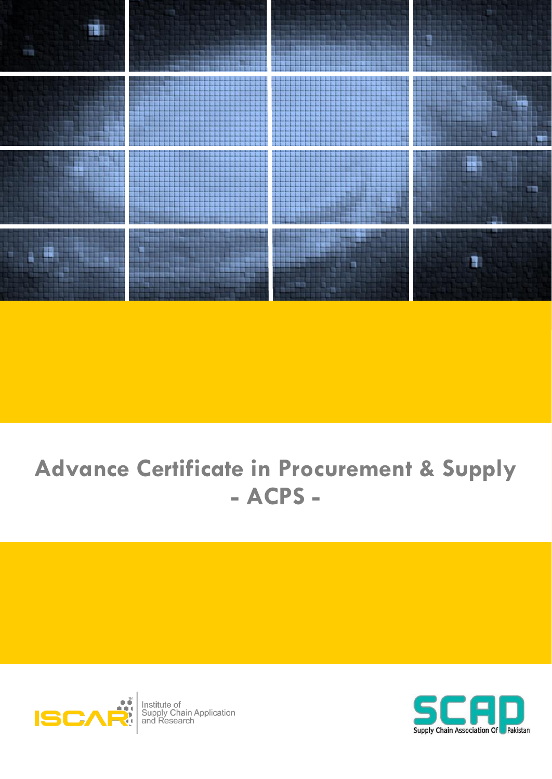

# **Advance Certificate in Procurement & Supply** - ACPS -



Institute of<br>Supply Chain Application<br>and Research

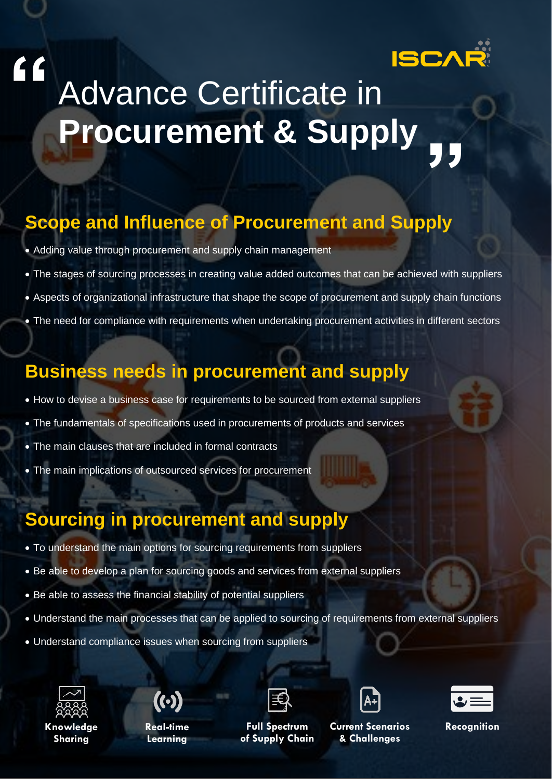

# Advance Certificate in **Procurement & Supply "**

# **Scope and Influence of Procurement and Supply**

- Adding value through procurement and supply chain management
- The stages of sourcing processes in creating value added outcomes that can be achieved with suppliers
- Aspects of organizational infrastructure that shape the scope of procurement and supply chain functions
- The need for compliance with requirements when undertaking procurement activities in different sectors

### **Business needs in procurement and supply**

- How to devise a business case for requirements to be sourced from external suppliers
- The fundamentals of specifications used in procurements of products and services
- The main clauses that are included in formal contracts
- The main implications of outsourced services for procurement

## **Sourcing in procurement and supply**

- To understand the main options for sourcing requirements from suppliers
- Be able to develop a plan for sourcing goods and services from external suppliers
- Be able to assess the financial stability of potential suppliers
- Understand the main processes that can be applied to sourcing of requirements from external suppliers
- Understand compliance issues when sourcing from suppliers



**"**

**Sharing** 



**Real-time Learning** 



**Full Spectrum of Supply Chain** 



Knowledge Real-time Full Spectrum Current Scenarios Recognition **& Challenges** 

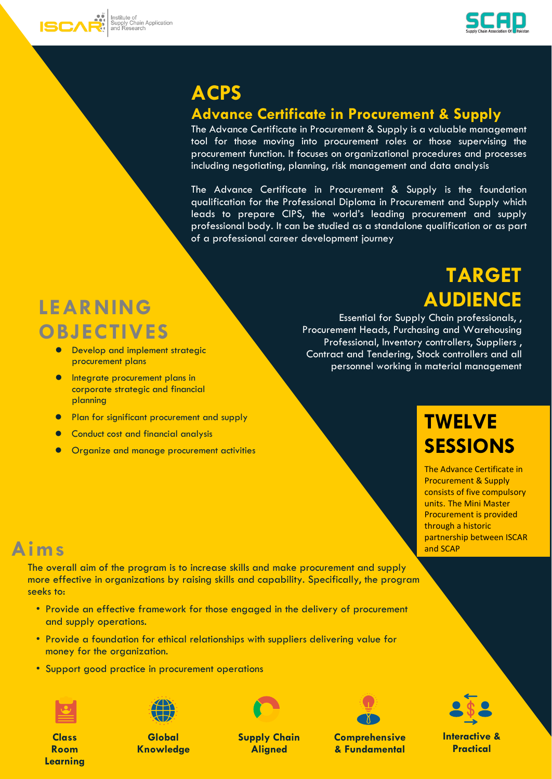



## **ACPS**

#### **Advance Certificate in Procurement & Supply**

The Advance Certificate in Procurement & Supply is a valuable management tool for those moving into procurement roles or those supervising the procurement function. It focuses on organizational procedures and processes including negotiating, planning, risk management and data analysis

The Advance Certificate in Procurement & Supply is the foundation qualification for the Professional Diploma in Procurement and Supply which leads to prepare CIPS, the world's leading procurement and supply professional body. It can be studied as a standalone qualification or as part of a professional career development journey

# **LEARNING OBJECTIVES**

- Develop and implement strategic procurement plans
- **•** Integrate procurement plans in corporate strategic and financial planning
- Plan for significant procurement and supply
- Conduct cost and financial analysis
- ⚫ Organize and manage procurement activities

**TARGET AUDIENCE**

Essential for Supply Chain professionals, , Procurement Heads, Purchasing and Warehousing Professional, Inventory controllers, Suppliers , Contract and Tendering, Stock controllers and all personnel working in material management

# **TWELVE SESSIONS**

The Advance Certificate in Procurement & Supply consists of five compulsory units. The Mini Master Procurement is provided through a historic partnership between ISCAR and SCAP

## **Aims**

The overall aim of the program is to increase skills and make procurement and supply more effective in organizations by raising skills and capability. Specifically, the program seeks to:

- Provide an effective framework for those engaged in the delivery of procurement and supply operations.
- Provide a foundation for ethical relationships with suppliers delivering value for money for the organization.
- Support good practice in procurement operations



**Class Room Learning**



**Global Knowledge** 



**Supply Chain Aligned** 



**Comprehensive & Fundamental** 

**Interactive & Practical**